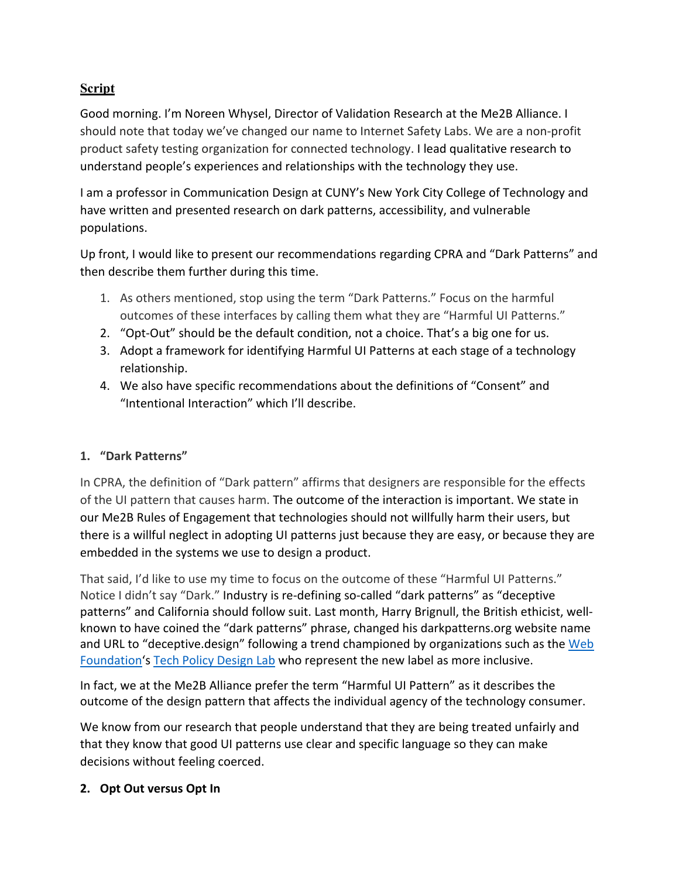# **Script**

Good morning. I'm Noreen Whysel, Director of Validation Research at the Me2B Alliance. I should note that today we've changed our name to Internet Safety Labs. We are a non-profit product safety testing organization for connected technology. I lead qualitative research to understand people's experiences and relationships with the technology they use.

I am a professor in Communication Design at CUNY's New York City College of Technology and have written and presented research on dark patterns, accessibility, and vulnerable populations.

Up front, I would like to present our recommendations regarding CPRA and "Dark Patterns" and then describe them further during this time.

- 1. As others mentioned, stop using the term "Dark Patterns." Focus on the harmful outcomes of these interfaces by calling them what they are "Harmful UI Patterns."
- 2. "Opt-Out" should be the default condition, not a choice. That's a big one for us.
- 3. Adopt a framework for identifying Harmful UI Patterns at each stage of a technology relationship.
- 4. We also have specific recommendations about the definitions of "Consent" and "Intentional Interaction" which I'll describe.

## **1. "Dark Patterns"**

In CPRA, the definition of "Dark pattern" affirms that designers are responsible for the effects of the UI pattern that causes harm. The outcome of the interaction is important. We state in our Me2B Rules of Engagement that technologies should not willfully harm their users, but there is a willful neglect in adopting UI patterns just because they are easy, or because they are embedded in the systems we use to design a product.

That said, I'd like to use my time to focus on the outcome of these "Harmful UI Patterns." Notice I didn't say "Dark." Industry is re-defining so-called "dark patterns" as "deceptive patterns" and California should follow suit. Last month, Harry Brignull, the British ethicist, wellknown to have coined the "dark patterns" phrase, changed his darkpatterns.org website name and URL to "deceptive.design" following a trend championed by organizations such as the Web Foundation's Tech Policy Design Lab who represent the new label as more inclusive.

In fact, we at the Me2B Alliance prefer the term "Harmful UI Pattern" as it describes the outcome of the design pattern that affects the individual agency of the technology consumer.

We know from our research that people understand that they are being treated unfairly and that they know that good UI patterns use clear and specific language so they can make decisions without feeling coerced.

#### **2. Opt Out versus Opt In**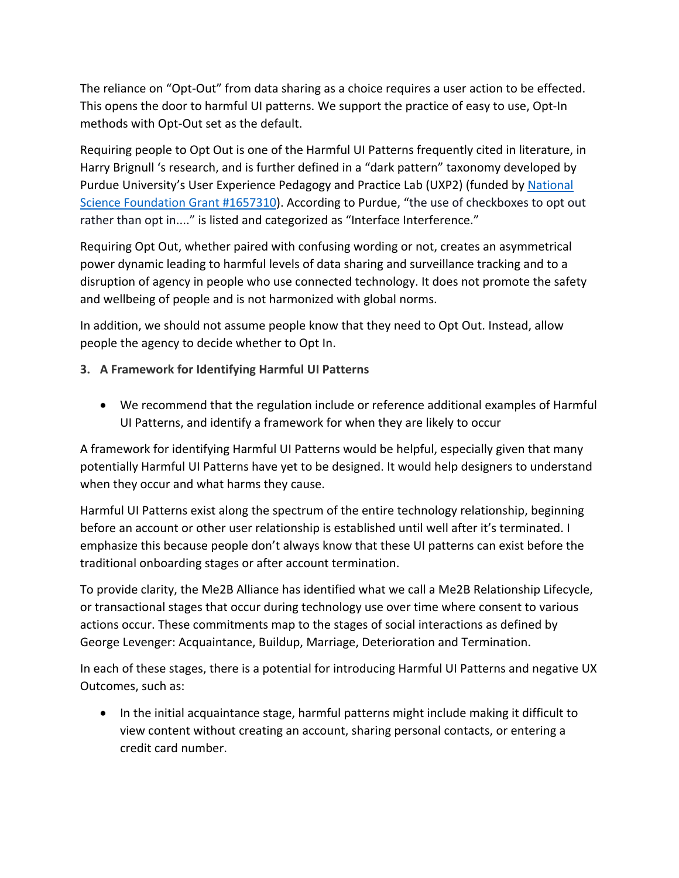The reliance on "Opt-Out" from data sharing as a choice requires a user action to be effected. This opens the door to harmful UI patterns. We support the practice of easy to use, Opt-In methods with Opt-Out set as the default.

Requiring people to Opt Out is one of the Harmful UI Patterns frequently cited in literature, in Harry Brignull 's research, and is further defined in a "dark pattern" taxonomy developed by Purdue University's User Experience Pedagogy and Practice Lab (UXP2) (funded by National Science Foundation Grant #1657310). According to Purdue, "the use of checkboxes to opt out rather than opt in...." is listed and categorized as "Interface Interference."

Requiring Opt Out, whether paired with confusing wording or not, creates an asymmetrical power dynamic leading to harmful levels of data sharing and surveillance tracking and to a disruption of agency in people who use connected technology. It does not promote the safety and wellbeing of people and is not harmonized with global norms.

In addition, we should not assume people know that they need to Opt Out. Instead, allow people the agency to decide whether to Opt In.

- **3. A Framework for Identifying Harmful UI Patterns**
	- We recommend that the regulation include or reference additional examples of Harmful UI Patterns, and identify a framework for when they are likely to occur

A framework for identifying Harmful UI Patterns would be helpful, especially given that many potentially Harmful UI Patterns have yet to be designed. It would help designers to understand when they occur and what harms they cause.

Harmful UI Patterns exist along the spectrum of the entire technology relationship, beginning before an account or other user relationship is established until well after it's terminated. I emphasize this because people don't always know that these UI patterns can exist before the traditional onboarding stages or after account termination.

To provide clarity, the Me2B Alliance has identified what we call a Me2B Relationship Lifecycle, or transactional stages that occur during technology use over time where consent to various actions occur. These commitments map to the stages of social interactions as defined by George Levenger: Acquaintance, Buildup, Marriage, Deterioration and Termination.

In each of these stages, there is a potential for introducing Harmful UI Patterns and negative UX Outcomes, such as:

• In the initial acquaintance stage, harmful patterns might include making it difficult to view content without creating an account, sharing personal contacts, or entering a credit card number.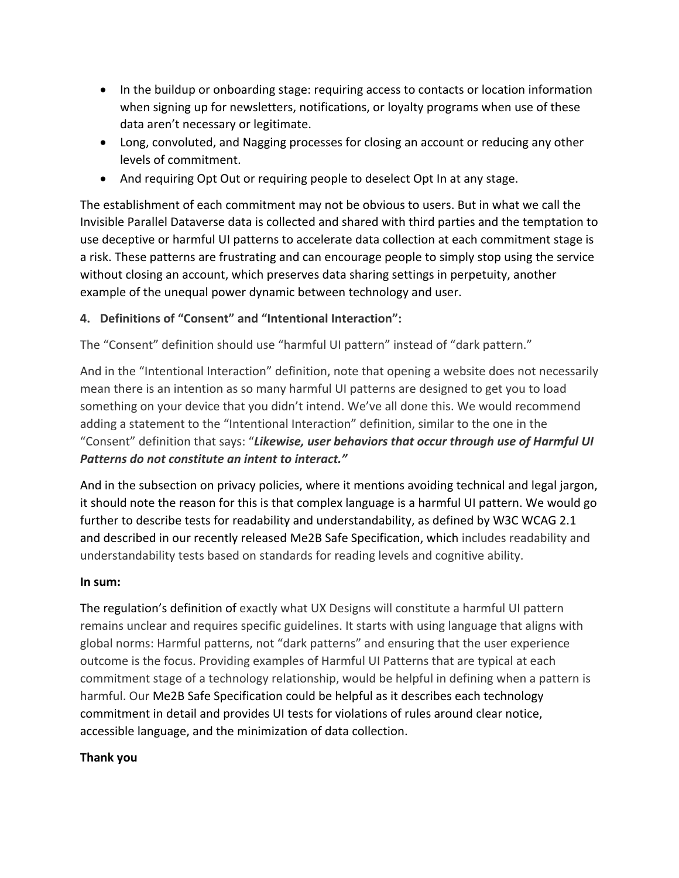- In the buildup or onboarding stage: requiring access to contacts or location information when signing up for newsletters, notifications, or loyalty programs when use of these data aren't necessary or legitimate.
- Long, convoluted, and Nagging processes for closing an account or reducing any other levels of commitment.
- And requiring Opt Out or requiring people to deselect Opt In at any stage.

The establishment of each commitment may not be obvious to users. But in what we call the Invisible Parallel Dataverse data is collected and shared with third parties and the temptation to use deceptive or harmful UI patterns to accelerate data collection at each commitment stage is a risk. These patterns are frustrating and can encourage people to simply stop using the service without closing an account, which preserves data sharing settings in perpetuity, another example of the unequal power dynamic between technology and user.

#### **4. Definitions of "Consent" and "Intentional Interaction":**

The "Consent" definition should use "harmful UI pattern" instead of "dark pattern."

And in the "Intentional Interaction" definition, note that opening a website does not necessarily mean there is an intention as so many harmful UI patterns are designed to get you to load something on your device that you didn't intend. We've all done this. We would recommend adding a statement to the "Intentional Interaction" definition, similar to the one in the "Consent" definition that says: "*Likewise, user behaviors that occur through use of Harmful UI Patterns do not constitute an intent to interact."*

And in the subsection on privacy policies, where it mentions avoiding technical and legal jargon, it should note the reason for this is that complex language is a harmful UI pattern. We would go further to describe tests for readability and understandability, as defined by W3C WCAG 2.1 and described in our recently released Me2B Safe Specification, which includes readability and understandability tests based on standards for reading levels and cognitive ability.

#### **In sum:**

The regulation's definition of exactly what UX Designs will constitute a harmful UI pattern remains unclear and requires specific guidelines. It starts with using language that aligns with global norms: Harmful patterns, not "dark patterns" and ensuring that the user experience outcome is the focus. Providing examples of Harmful UI Patterns that are typical at each commitment stage of a technology relationship, would be helpful in defining when a pattern is harmful. Our Me2B Safe Specification could be helpful as it describes each technology commitment in detail and provides UI tests for violations of rules around clear notice, accessible language, and the minimization of data collection.

#### **Thank you**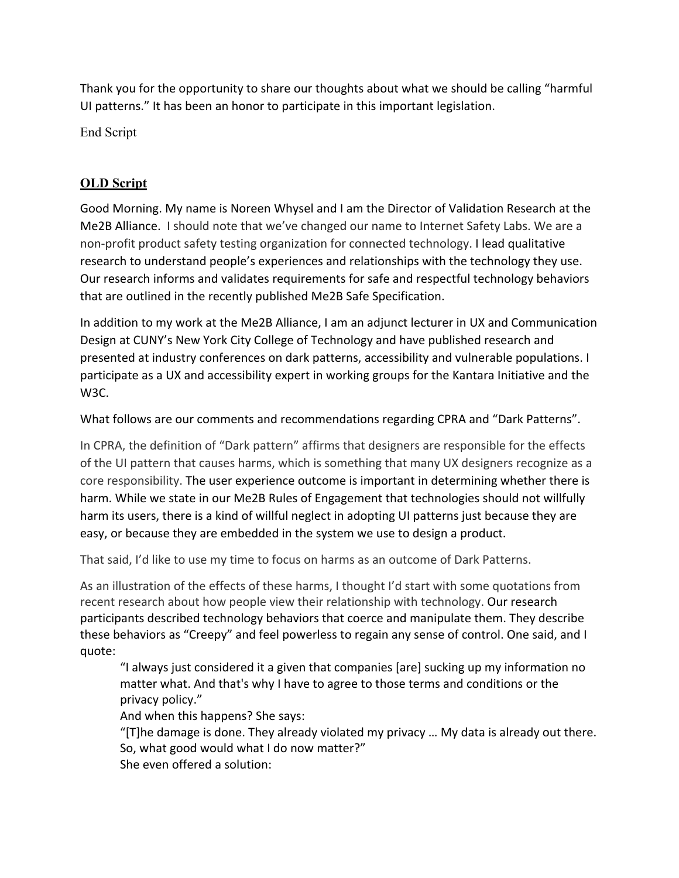Thank you for the opportunity to share our thoughts about what we should be calling "harmful UI patterns." It has been an honor to participate in this important legislation.

End Script

# **OLD Script**

Good Morning. My name is Noreen Whysel and I am the Director of Validation Research at the Me2B Alliance. I should note that we've changed our name to Internet Safety Labs. We are a non-profit product safety testing organization for connected technology. I lead qualitative research to understand people's experiences and relationships with the technology they use. Our research informs and validates requirements for safe and respectful technology behaviors that are outlined in the recently published Me2B Safe Specification.

In addition to my work at the Me2B Alliance, I am an adjunct lecturer in UX and Communication Design at CUNY's New York City College of Technology and have published research and presented at industry conferences on dark patterns, accessibility and vulnerable populations. I participate as a UX and accessibility expert in working groups for the Kantara Initiative and the W3C.

What follows are our comments and recommendations regarding CPRA and "Dark Patterns".

In CPRA, the definition of "Dark pattern" affirms that designers are responsible for the effects of the UI pattern that causes harms, which is something that many UX designers recognize as a core responsibility. The user experience outcome is important in determining whether there is harm. While we state in our Me2B Rules of Engagement that technologies should not willfully harm its users, there is a kind of willful neglect in adopting UI patterns just because they are easy, or because they are embedded in the system we use to design a product.

That said, I'd like to use my time to focus on harms as an outcome of Dark Patterns.

As an illustration of the effects of these harms, I thought I'd start with some quotations from recent research about how people view their relationship with technology. Our research participants described technology behaviors that coerce and manipulate them. They describe these behaviors as "Creepy" and feel powerless to regain any sense of control. One said, and I quote:

"I always just considered it a given that companies [are] sucking up my information no matter what. And that's why I have to agree to those terms and conditions or the privacy policy."

And when this happens? She says:

"[T]he damage is done. They already violated my privacy … My data is already out there. So, what good would what I do now matter?"

She even offered a solution: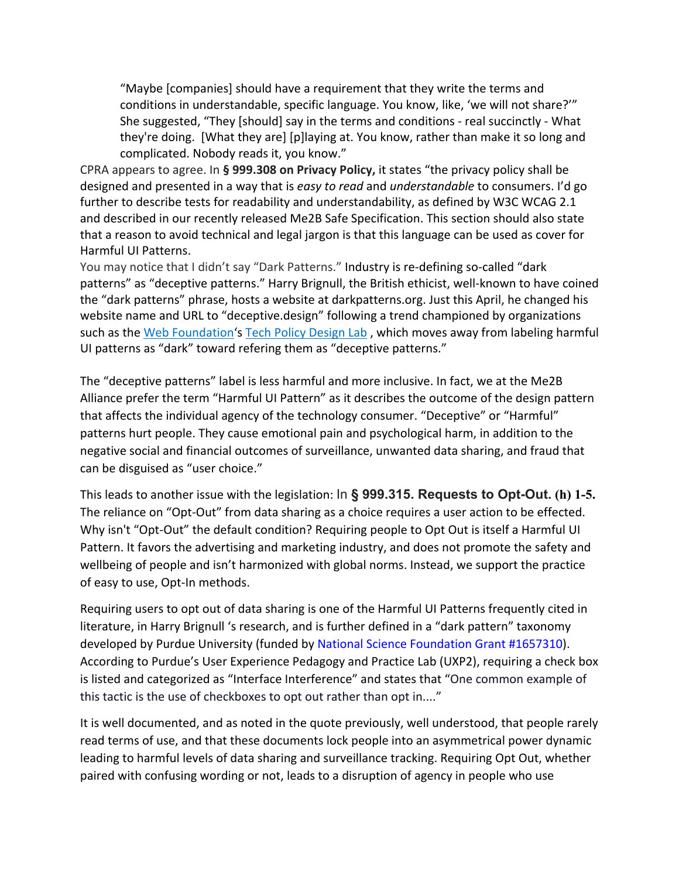"Maybe [companies] should have a requirement that they write the terms and conditions in understandable, specific language. You know, like, 'we will not share?'" She suggested, "They [should] say in the terms and conditions - real succinctly - What they're doing. [What they are] [p]laying at. You know, rather than make it so long and complicated. Nobody reads it, you know."

CPRA appears to agree. In **§ 999.308 on Privacy Policy,** it states "the privacy policy shall be designed and presented in a way that is *easy to read* and *understandable* to consumers. I'd go further to describe tests for readability and understandability, as defined by W3C WCAG 2.1 and described in our recently released Me2B Safe Specification. This section should also state that a reason to avoid technical and legal jargon is that this language can be used as cover for Harmful UI Patterns.

You may notice that I didn't say "Dark Patterns." Industry is re-defining so-called "dark patterns" as "deceptive patterns." Harry Brignull, the British ethicist, well-known to have coined the "dark patterns" phrase, hosts a website at darkpatterns.org. Just this April, he changed his website name and URL to "deceptive.design" following a trend championed by organizations such as the Web Foundation's Tech Policy Design Lab , which moves away from labeling harmful UI patterns as "dark" toward refering them as "deceptive patterns."

The "deceptive patterns" label is less harmful and more inclusive. In fact, we at the Me2B Alliance prefer the term "Harmful UI Pattern" as it describes the outcome of the design pattern that affects the individual agency of the technology consumer. "Deceptive" or "Harmful" patterns hurt people. They cause emotional pain and psychological harm, in addition to the negative social and financial outcomes of surveillance, unwanted data sharing, and fraud that can be disguised as "user choice."

This leads to another issue with the legislation: In **§ 999.315. Requests to Opt-Out. (h) 1-5.**  The reliance on "Opt-Out" from data sharing as a choice requires a user action to be effected. Why isn't "Opt-Out" the default condition? Requiring people to Opt Out is itself a Harmful UI Pattern. It favors the advertising and marketing industry, and does not promote the safety and wellbeing of people and isn't harmonized with global norms. Instead, we support the practice of easy to use, Opt-In methods.

Requiring users to opt out of data sharing is one of the Harmful UI Patterns frequently cited in literature, in Harry Brignull 's research, and is further defined in a "dark pattern" taxonomy developed by Purdue University (funded by National Science Foundation Grant #1657310). According to Purdue's User Experience Pedagogy and Practice Lab (UXP2), requiring a check box is listed and categorized as "Interface Interference" and states that "One common example of this tactic is the use of checkboxes to opt out rather than opt in...."

It is well documented, and as noted in the quote previously, well understood, that people rarely read terms of use, and that these documents lock people into an asymmetrical power dynamic leading to harmful levels of data sharing and surveillance tracking. Requiring Opt Out, whether paired with confusing wording or not, leads to a disruption of agency in people who use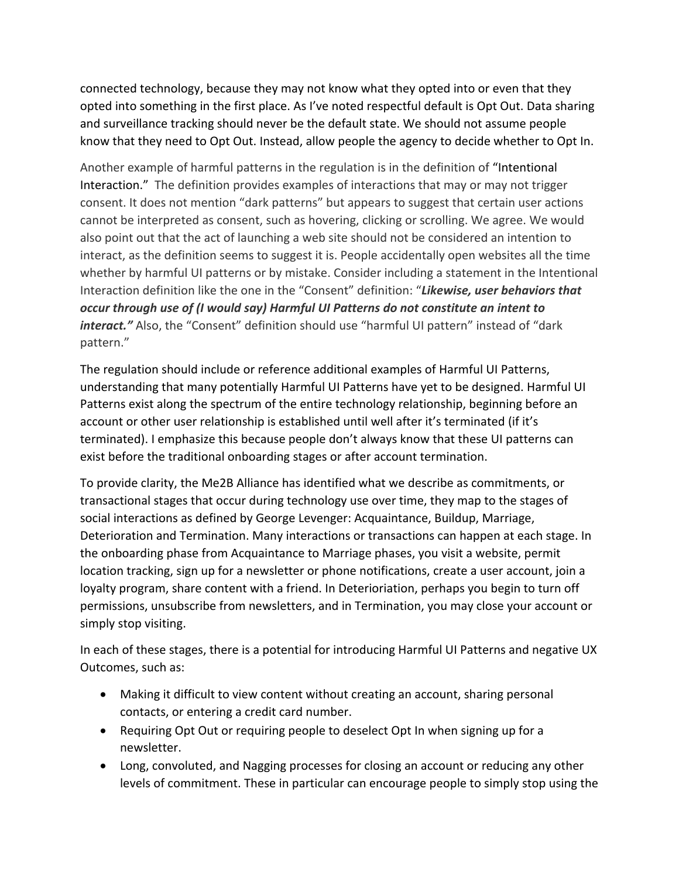connected technology, because they may not know what they opted into or even that they opted into something in the first place. As I've noted respectful default is Opt Out. Data sharing and surveillance tracking should never be the default state. We should not assume people know that they need to Opt Out. Instead, allow people the agency to decide whether to Opt In.

Another example of harmful patterns in the regulation is in the definition of "Intentional Interaction." The definition provides examples of interactions that may or may not trigger consent. It does not mention "dark patterns" but appears to suggest that certain user actions cannot be interpreted as consent, such as hovering, clicking or scrolling. We agree. We would also point out that the act of launching a web site should not be considered an intention to interact, as the definition seems to suggest it is. People accidentally open websites all the time whether by harmful UI patterns or by mistake. Consider including a statement in the Intentional Interaction definition like the one in the "Consent" definition: "*Likewise, user behaviors that occur through use of (I would say) Harmful UI Patterns do not constitute an intent to interact."* Also, the "Consent" definition should use "harmful UI pattern" instead of "dark pattern."

The regulation should include or reference additional examples of Harmful UI Patterns, understanding that many potentially Harmful UI Patterns have yet to be designed. Harmful UI Patterns exist along the spectrum of the entire technology relationship, beginning before an account or other user relationship is established until well after it's terminated (if it's terminated). I emphasize this because people don't always know that these UI patterns can exist before the traditional onboarding stages or after account termination.

To provide clarity, the Me2B Alliance has identified what we describe as commitments, or transactional stages that occur during technology use over time, they map to the stages of social interactions as defined by George Levenger: Acquaintance, Buildup, Marriage, Deterioration and Termination. Many interactions or transactions can happen at each stage. In the onboarding phase from Acquaintance to Marriage phases, you visit a website, permit location tracking, sign up for a newsletter or phone notifications, create a user account, join a loyalty program, share content with a friend. In Deterioriation, perhaps you begin to turn off permissions, unsubscribe from newsletters, and in Termination, you may close your account or simply stop visiting.

In each of these stages, there is a potential for introducing Harmful UI Patterns and negative UX Outcomes, such as:

- Making it difficult to view content without creating an account, sharing personal contacts, or entering a credit card number.
- Requiring Opt Out or requiring people to deselect Opt In when signing up for a newsletter.
- Long, convoluted, and Nagging processes for closing an account or reducing any other levels of commitment. These in particular can encourage people to simply stop using the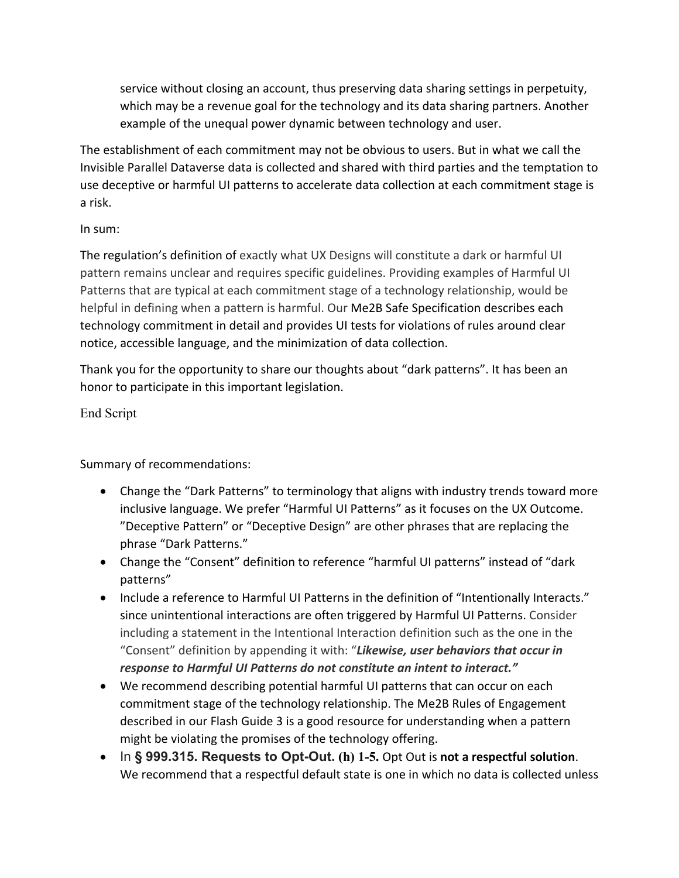service without closing an account, thus preserving data sharing settings in perpetuity, which may be a revenue goal for the technology and its data sharing partners. Another example of the unequal power dynamic between technology and user.

The establishment of each commitment may not be obvious to users. But in what we call the Invisible Parallel Dataverse data is collected and shared with third parties and the temptation to use deceptive or harmful UI patterns to accelerate data collection at each commitment stage is a risk.

### In sum:

The regulation's definition of exactly what UX Designs will constitute a dark or harmful UI pattern remains unclear and requires specific guidelines. Providing examples of Harmful UI Patterns that are typical at each commitment stage of a technology relationship, would be helpful in defining when a pattern is harmful. Our Me2B Safe Specification describes each technology commitment in detail and provides UI tests for violations of rules around clear notice, accessible language, and the minimization of data collection.

Thank you for the opportunity to share our thoughts about "dark patterns". It has been an honor to participate in this important legislation.

## End Script

Summary of recommendations:

- Change the "Dark Patterns" to terminology that aligns with industry trends toward more inclusive language. We prefer "Harmful UI Patterns" as it focuses on the UX Outcome. "Deceptive Pattern" or "Deceptive Design" are other phrases that are replacing the phrase "Dark Patterns."
- Change the "Consent" definition to reference "harmful UI patterns" instead of "dark patterns"
- Include a reference to Harmful UI Patterns in the definition of "Intentionally Interacts." since unintentional interactions are often triggered by Harmful UI Patterns. Consider including a statement in the Intentional Interaction definition such as the one in the "Consent" definition by appending it with: "*Likewise, user behaviors that occur in response to Harmful UI Patterns do not constitute an intent to interact."*
- We recommend describing potential harmful UI patterns that can occur on each commitment stage of the technology relationship. The Me2B Rules of Engagement described in our Flash Guide 3 is a good resource for understanding when a pattern might be violating the promises of the technology offering.
- In **§ 999.315. Requests to Opt-Out. (h) 1-5.** Opt Out is **not a respectful solution**. We recommend that a respectful default state is one in which no data is collected unless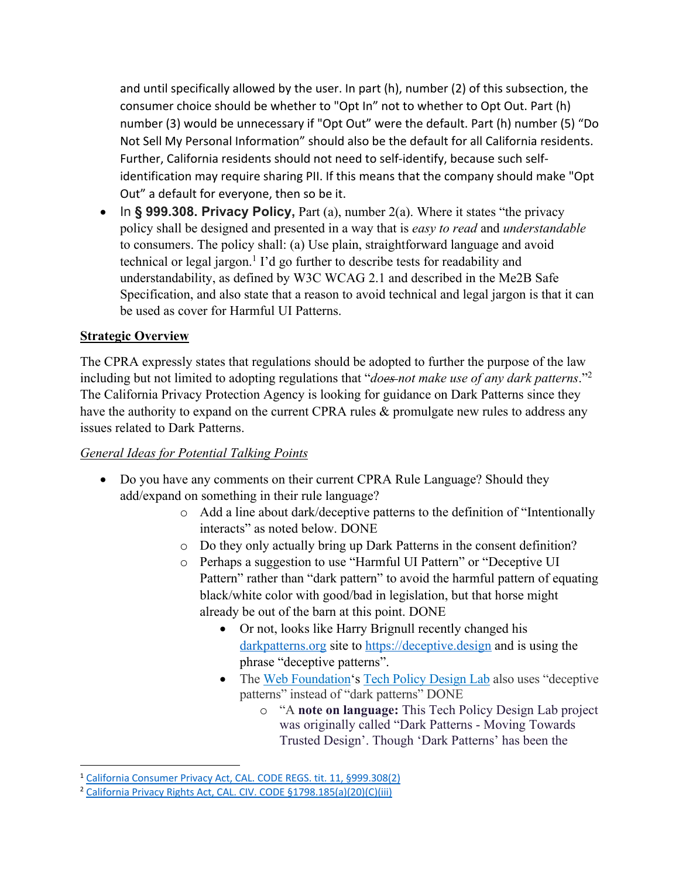and until specifically allowed by the user. In part (h), number (2) of this subsection, the consumer choice should be whether to "Opt In" not to whether to Opt Out. Part (h) number (3) would be unnecessary if "Opt Out" were the default. Part (h) number (5) "Do Not Sell My Personal Information" should also be the default for all California residents. Further, California residents should not need to self-identify, because such selfidentification may require sharing PII. If this means that the company should make "Opt Out" a default for everyone, then so be it.

• In § 999.308. Privacy Policy, Part (a), number 2(a). Where it states "the privacy policy shall be designed and presented in a way that is *easy to read* and *understandable*  to consumers. The policy shall: (a) Use plain, straightforward language and avoid technical or legal jargon.<sup>1</sup> I'd go further to describe tests for readability and understandability, as defined by W3C WCAG 2.1 and described in the Me2B Safe Specification, and also state that a reason to avoid technical and legal jargon is that it can be used as cover for Harmful UI Patterns.

#### **Strategic Overview**

The CPRA expressly states that regulations should be adopted to further the purpose of the law including but not limited to adopting regulations that "*does not make use of any dark patterns*."2 The California Privacy Protection Agency is looking for guidance on Dark Patterns since they have the authority to expand on the current CPRA rules & promulgate new rules to address any issues related to Dark Patterns.

#### *General Ideas for Potential Talking Points*

- Do you have any comments on their current CPRA Rule Language? Should they add/expand on something in their rule language?
	- o Add a line about dark/deceptive patterns to the definition of "Intentionally interacts" as noted below. DONE
	- o Do they only actually bring up Dark Patterns in the consent definition?
	- o Perhaps a suggestion to use "Harmful UI Pattern" or "Deceptive UI Pattern" rather than "dark pattern" to avoid the harmful pattern of equating black/white color with good/bad in legislation, but that horse might already be out of the barn at this point. DONE
		- Or not, looks like Harry Brignull recently changed his darkpatterns.org site to https://deceptive.design and is using the phrase "deceptive patterns".
		- The Web Foundation's Tech Policy Design Lab also uses "deceptive" patterns" instead of "dark patterns" DONE
			- o "A **note on language:** This Tech Policy Design Lab project was originally called "Dark Patterns - Moving Towards Trusted Design'. Though 'Dark Patterns' has been the

<sup>&</sup>lt;sup>1</sup> California Consumer Privacy Act, CAL. CODE REGS. tit. 11, §999.308(2)

<sup>2</sup> California Privacy Rights Act, CAL. CIV. CODE §1798.185(a)(20)(C)(iii)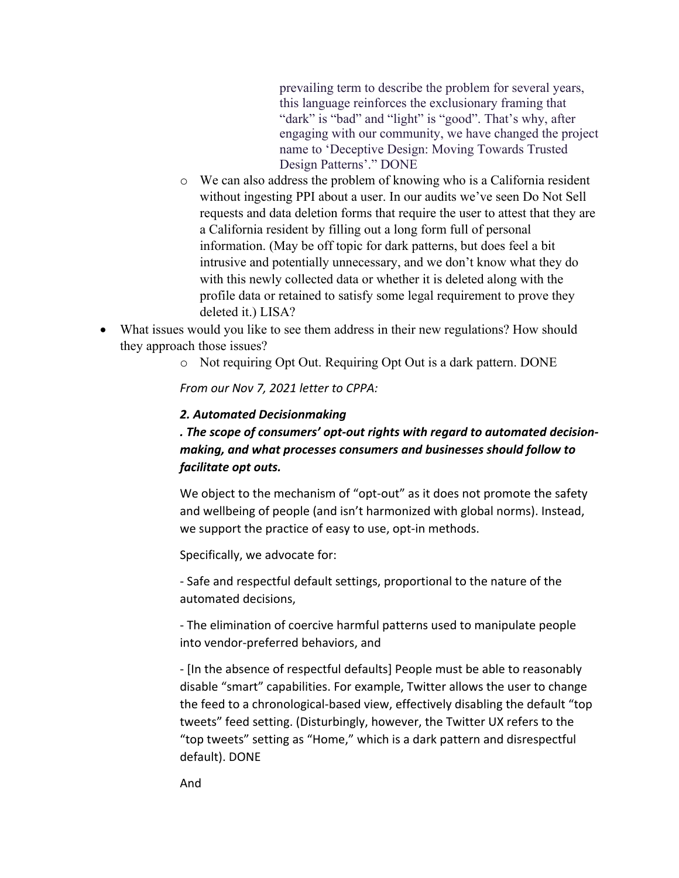prevailing term to describe the problem for several years, this language reinforces the exclusionary framing that "dark" is "bad" and "light" is "good". That's why, after engaging with our community, we have changed the project name to 'Deceptive Design: Moving Towards Trusted Design Patterns'." DONE

- o We can also address the problem of knowing who is a California resident without ingesting PPI about a user. In our audits we've seen Do Not Sell requests and data deletion forms that require the user to attest that they are a California resident by filling out a long form full of personal information. (May be off topic for dark patterns, but does feel a bit intrusive and potentially unnecessary, and we don't know what they do with this newly collected data or whether it is deleted along with the profile data or retained to satisfy some legal requirement to prove they deleted it.) LISA?
- What issues would you like to see them address in their new regulations? How should they approach those issues?
	- o Not requiring Opt Out. Requiring Opt Out is a dark pattern. DONE

*From our Nov 7, 2021 letter to CPPA:*

#### *2. Automated Decisionmaking*

# *. The scope of consumers' opt-out rights with regard to automated decisionmaking, and what processes consumers and businesses should follow to facilitate opt outs.*

We object to the mechanism of "opt-out" as it does not promote the safety and wellbeing of people (and isn't harmonized with global norms). Instead, we support the practice of easy to use, opt-in methods.

Specifically, we advocate for:

- Safe and respectful default settings, proportional to the nature of the automated decisions,

- The elimination of coercive harmful patterns used to manipulate people into vendor-preferred behaviors, and

- [In the absence of respectful defaults] People must be able to reasonably disable "smart" capabilities. For example, Twitter allows the user to change the feed to a chronological-based view, effectively disabling the default "top tweets" feed setting. (Disturbingly, however, the Twitter UX refers to the "top tweets" setting as "Home," which is a dark pattern and disrespectful default). DONE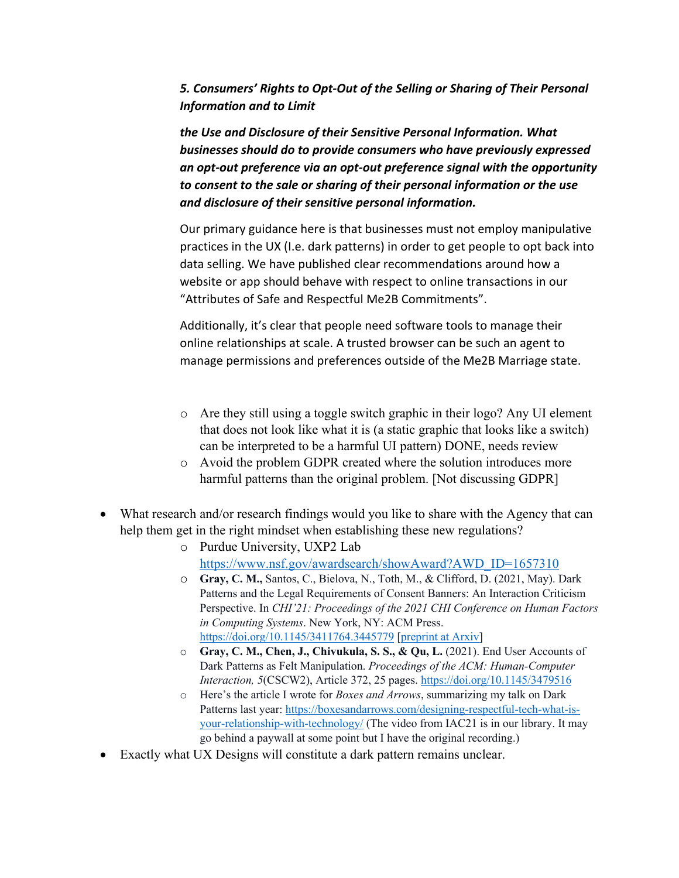*5. Consumers' Rights to Opt-Out of the Selling or Sharing of Their Personal Information and to Limit* 

*the Use and Disclosure of their Sensitive Personal Information. What businesses should do to provide consumers who have previously expressed an opt-out preference via an opt-out preference signal with the opportunity to consent to the sale or sharing of their personal information or the use and disclosure of their sensitive personal information.*

Our primary guidance here is that businesses must not employ manipulative practices in the UX (I.e. dark patterns) in order to get people to opt back into data selling. We have published clear recommendations around how a website or app should behave with respect to online transactions in our "Attributes of Safe and Respectful Me2B Commitments".

Additionally, it's clear that people need software tools to manage their online relationships at scale. A trusted browser can be such an agent to manage permissions and preferences outside of the Me2B Marriage state.

- o Are they still using a toggle switch graphic in their logo? Any UI element that does not look like what it is (a static graphic that looks like a switch) can be interpreted to be a harmful UI pattern) DONE, needs review
- o Avoid the problem GDPR created where the solution introduces more harmful patterns than the original problem. [Not discussing GDPR]
- What research and/or research findings would you like to share with the Agency that can help them get in the right mindset when establishing these new regulations?
	- o Purdue University, UXP2 Lab https://www.nsf.gov/awardsearch/showAward?AWD\_ID=1657310
	- o **Gray, C. M.,** Santos, C., Bielova, N., Toth, M., & Clifford, D. (2021, May). Dark Patterns and the Legal Requirements of Consent Banners: An Interaction Criticism Perspective. In *CHI'21: Proceedings of the 2021 CHI Conference on Human Factors in Computing Systems*. New York, NY: ACM Press. https://doi.org/10.1145/3411764.3445779 [preprint at Arxiv]
	- o **Gray, C. M., Chen, J., Chivukula, S. S., & Qu, L.** (2021). End User Accounts of Dark Patterns as Felt Manipulation. *Proceedings of the ACM: Human-Computer Interaction, 5*(CSCW2), Article 372, 25 pages. https://doi.org/10.1145/3479516
	- o Here's the article I wrote for *Boxes and Arrows*, summarizing my talk on Dark Patterns last year: https://boxesandarrows.com/designing-respectful-tech-what-isyour-relationship-with-technology/ (The video from IAC21 is in our library. It may go behind a paywall at some point but I have the original recording.)
- Exactly what UX Designs will constitute a dark pattern remains unclear.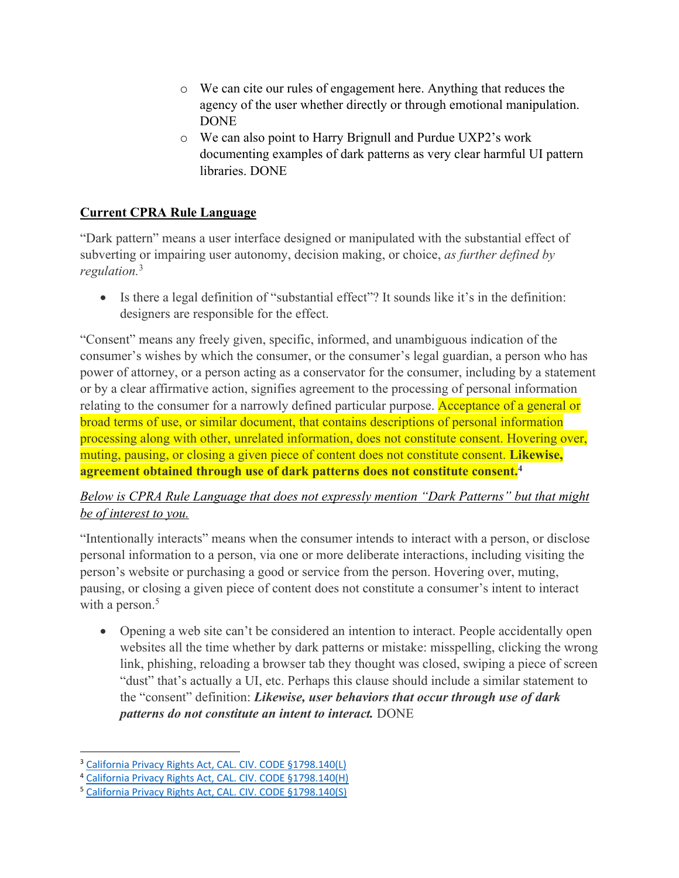- o We can cite our rules of engagement here. Anything that reduces the agency of the user whether directly or through emotional manipulation. DONE
- o We can also point to Harry Brignull and Purdue UXP2's work documenting examples of dark patterns as very clear harmful UI pattern libraries. DONE

## **Current CPRA Rule Language**

"Dark pattern" means a user interface designed or manipulated with the substantial effect of subverting or impairing user autonomy, decision making, or choice, *as further defined by regulation.*<sup>3</sup>

• Is there a legal definition of "substantial effect"? It sounds like it's in the definition: designers are responsible for the effect.

"Consent" means any freely given, specific, informed, and unambiguous indication of the consumer's wishes by which the consumer, or the consumer's legal guardian, a person who has power of attorney, or a person acting as a conservator for the consumer, including by a statement or by a clear affirmative action, signifies agreement to the processing of personal information relating to the consumer for a narrowly defined particular purpose. Acceptance of a general or broad terms of use, or similar document, that contains descriptions of personal information processing along with other, unrelated information, does not constitute consent. Hovering over, muting, pausing, or closing a given piece of content does not constitute consent. **Likewise, agreement obtained through use of dark patterns does not constitute consent.4**

## *Below is CPRA Rule Language that does not expressly mention "Dark Patterns" but that might be of interest to you.*

"Intentionally interacts" means when the consumer intends to interact with a person, or disclose personal information to a person, via one or more deliberate interactions, including visiting the person's website or purchasing a good or service from the person. Hovering over, muting, pausing, or closing a given piece of content does not constitute a consumer's intent to interact with a person.<sup>5</sup>

• Opening a web site can't be considered an intention to interact. People accidentally open websites all the time whether by dark patterns or mistake: misspelling, clicking the wrong link, phishing, reloading a browser tab they thought was closed, swiping a piece of screen "dust" that's actually a UI, etc. Perhaps this clause should include a similar statement to the "consent" definition: *Likewise, user behaviors that occur through use of dark patterns do not constitute an intent to interact.* DONE

<sup>&</sup>lt;sup>3</sup> California Privacy Rights Act, CAL. CIV. CODE §1798.140(L)

<sup>4</sup> California Privacy Rights Act, CAL. CIV. CODE §1798.140(H)

<sup>5</sup> California Privacy Rights Act, CAL. CIV. CODE §1798.140(S)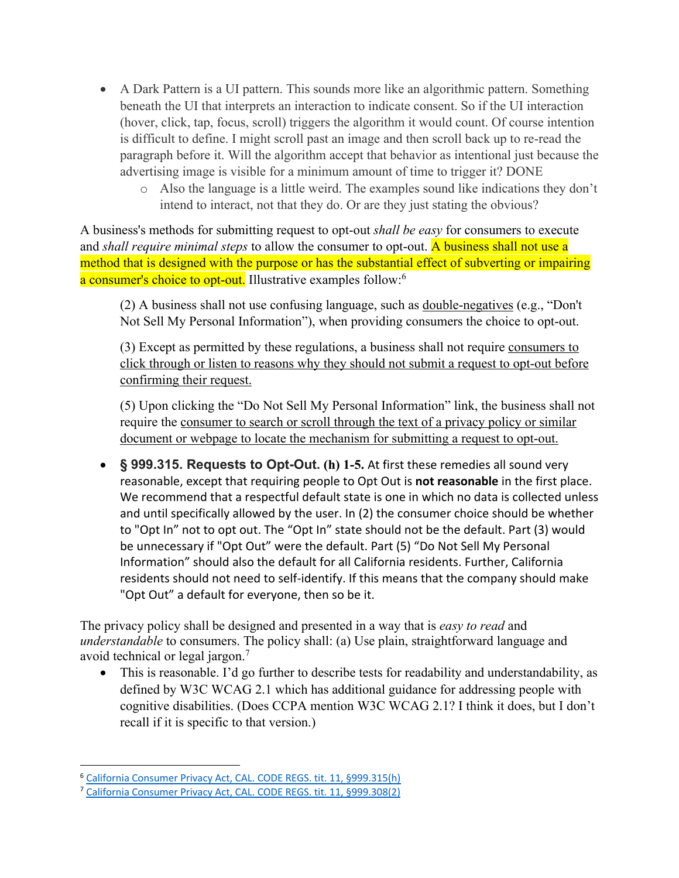- A Dark Pattern is a UI pattern. This sounds more like an algorithmic pattern. Something beneath the UI that interprets an interaction to indicate consent. So if the UI interaction (hover, click, tap, focus, scroll) triggers the algorithm it would count. Of course intention is difficult to define. I might scroll past an image and then scroll back up to re-read the paragraph before it. Will the algorithm accept that behavior as intentional just because the advertising image is visible for a minimum amount of time to trigger it? DONE
	- o Also the language is a little weird. The examples sound like indications they don't intend to interact, not that they do. Or are they just stating the obvious?

A business's methods for submitting request to opt-out *shall be easy* for consumers to execute and *shall require minimal steps* to allow the consumer to opt-out. A business shall not use a method that is designed with the purpose or has the substantial effect of subverting or impairing a consumer's choice to opt-out. Illustrative examples follow:<sup>6</sup>

(2) A business shall not use confusing language, such as double-negatives (e.g., "Don't Not Sell My Personal Information"), when providing consumers the choice to opt-out.

(3) Except as permitted by these regulations, a business shall not require consumers to click through or listen to reasons why they should not submit a request to opt-out before confirming their request.

(5) Upon clicking the "Do Not Sell My Personal Information" link, the business shall not require the consumer to search or scroll through the text of a privacy policy or similar document or webpage to locate the mechanism for submitting a request to opt-out.

• **§ 999.315. Requests to Opt-Out. (h) 1-5.** At first these remedies all sound very reasonable, except that requiring people to Opt Out is **not reasonable** in the first place. We recommend that a respectful default state is one in which no data is collected unless and until specifically allowed by the user. In (2) the consumer choice should be whether to "Opt In" not to opt out. The "Opt In" state should not be the default. Part (3) would be unnecessary if "Opt Out" were the default. Part (5) "Do Not Sell My Personal Information" should also the default for all California residents. Further, California residents should not need to self-identify. If this means that the company should make "Opt Out" a default for everyone, then so be it.

The privacy policy shall be designed and presented in a way that is *easy to read* and *understandable* to consumers. The policy shall: (a) Use plain, straightforward language and avoid technical or legal jargon.7

• This is reasonable. I'd go further to describe tests for readability and understandability, as defined by W3C WCAG 2.1 which has additional guidance for addressing people with cognitive disabilities. (Does CCPA mention W3C WCAG 2.1? I think it does, but I don't recall if it is specific to that version.)

<sup>6</sup> California Consumer Privacy Act, CAL. CODE REGS. tit. 11, §999.315(h)

<sup>7</sup> California Consumer Privacy Act, CAL. CODE REGS. tit. 11, §999.308(2)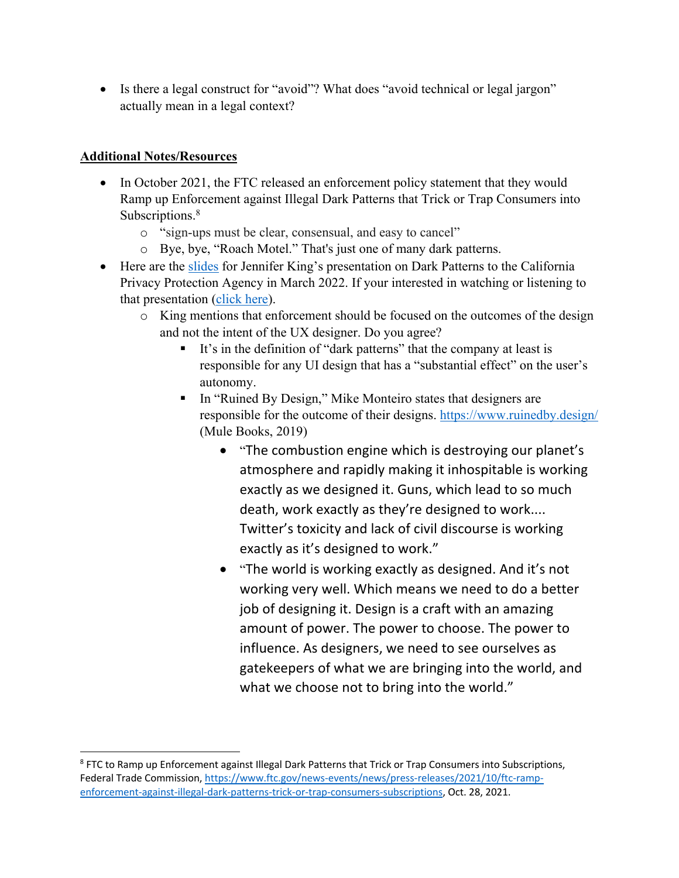• Is there a legal construct for "avoid"? What does "avoid technical or legal jargon" actually mean in a legal context?

### **Additional Notes/Resources**

- In October 2021, the FTC released an enforcement policy statement that they would Ramp up Enforcement against Illegal Dark Patterns that Trick or Trap Consumers into Subscriptions.<sup>8</sup>
	- o "sign-ups must be clear, consensual, and easy to cancel"
	- o Bye, bye, "Roach Motel." That's just one of many dark patterns.
- Here are the slides for Jennifer King's presentation on Dark Patterns to the California Privacy Protection Agency in March 2022. If your interested in watching or listening to that presentation (click here).
	- o King mentions that enforcement should be focused on the outcomes of the design and not the intent of the UX designer. Do you agree?
		- It's in the definition of "dark patterns" that the company at least is responsible for any UI design that has a "substantial effect" on the user's autonomy.
		- In "Ruined By Design," Mike Monteiro states that designers are responsible for the outcome of their designs. https://www.ruinedby.design/ (Mule Books, 2019)
			- "The combustion engine which is destroying our planet's atmosphere and rapidly making it inhospitable is working exactly as we designed it. Guns, which lead to so much death, work exactly as they're designed to work.... Twitter's toxicity and lack of civil discourse is working exactly as it's designed to work."
			- "The world is working exactly as designed. And it's not working very well. Which means we need to do a better job of designing it. Design is a craft with an amazing amount of power. The power to choose. The power to influence. As designers, we need to see ourselves as gatekeepers of what we are bringing into the world, and what we choose not to bring into the world."

<sup>&</sup>lt;sup>8</sup> FTC to Ramp up Enforcement against Illegal Dark Patterns that Trick or Trap Consumers into Subscriptions, Federal Trade Commission, https://www.ftc.gov/news-events/news/press-releases/2021/10/ftc-rampenforcement-against-illegal-dark-patterns-trick-or-trap-consumers-subscriptions, Oct. 28, 2021.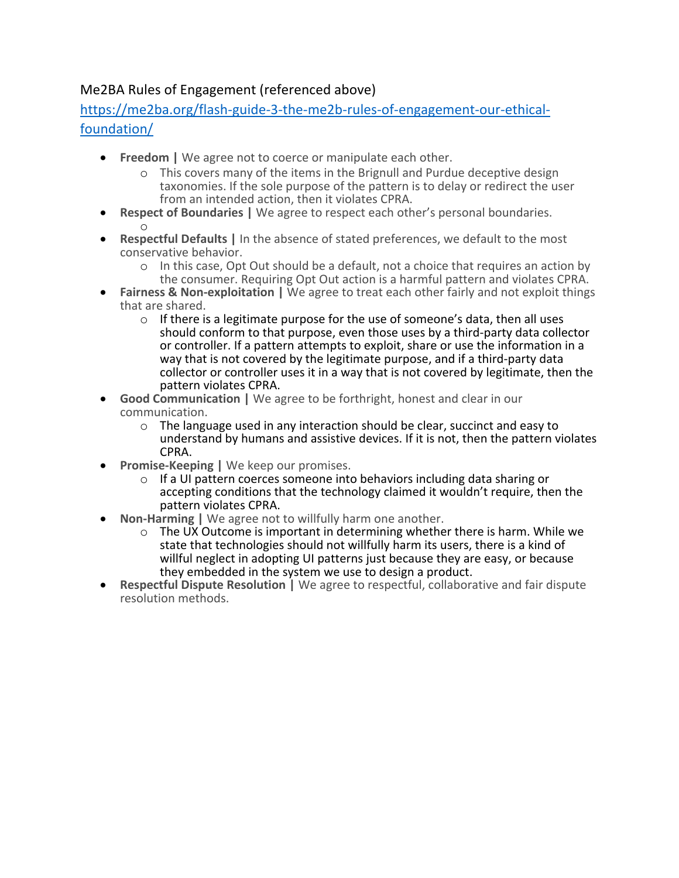# Me2BA Rules of Engagement (referenced above)

https://me2ba.org/flash-guide-3-the-me2b-rules-of-engagement-our-ethicalfoundation/

- **Freedom |** We agree not to coerce or manipulate each other.
	- o This covers many of the items in the Brignull and Purdue deceptive design taxonomies. If the sole purpose of the pattern is to delay or redirect the user from an intended action, then it violates CPRA.
- **Respect of Boundaries |** We agree to respect each other's personal boundaries. o
- **Respectful Defaults |** In the absence of stated preferences, we default to the most conservative behavior.
	- o In this case, Opt Out should be a default, not a choice that requires an action by the consumer. Requiring Opt Out action is a harmful pattern and violates CPRA.
- **Fairness & Non-exploitation |** We agree to treat each other fairly and not exploit things that are shared.
	- o If there is a legitimate purpose for the use of someone's data, then all uses should conform to that purpose, even those uses by a third-party data collector or controller. If a pattern attempts to exploit, share or use the information in a way that is not covered by the legitimate purpose, and if a third-party data collector or controller uses it in a way that is not covered by legitimate, then the pattern violates CPRA.
- **Good Communication |** We agree to be forthright, honest and clear in our communication.
	- $\circ$  The language used in any interaction should be clear, succinct and easy to understand by humans and assistive devices. If it is not, then the pattern violates CPRA.
- **Promise-Keeping | We keep our promises.** 
	- o If a UI pattern coerces someone into behaviors including data sharing or accepting conditions that the technology claimed it wouldn't require, then the pattern violates CPRA.
- **Non-Harming |** We agree not to willfully harm one another.
	- $\circ$  The UX Outcome is important in determining whether there is harm. While we state that technologies should not willfully harm its users, there is a kind of willful neglect in adopting UI patterns just because they are easy, or because they embedded in the system we use to design a product.
- **Respectful Dispute Resolution |** We agree to respectful, collaborative and fair dispute resolution methods.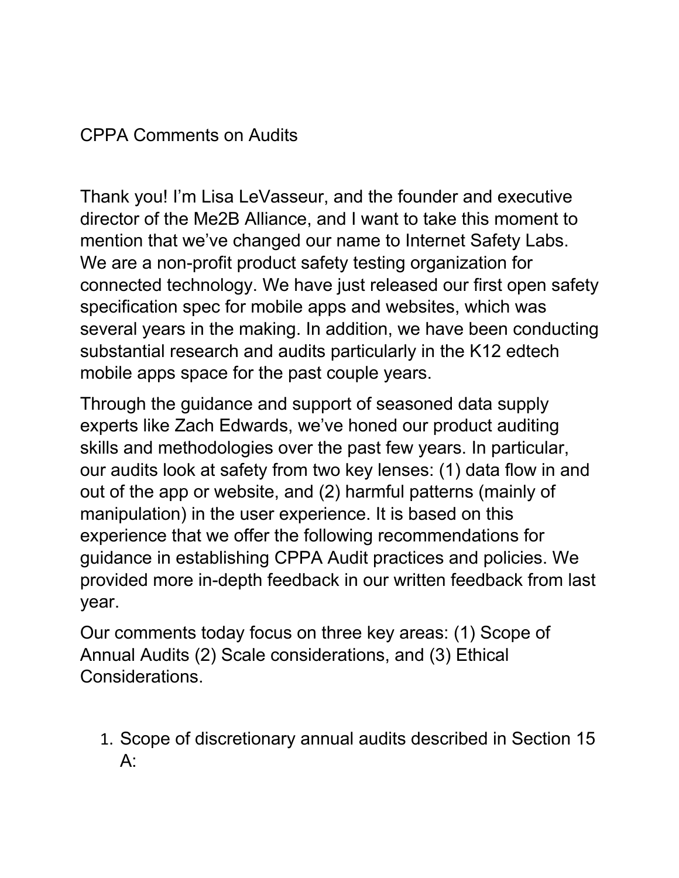# CPPA Comments on Audits

Thank you! I'm Lisa LeVasseur, and the founder and executive director of the Me2B Alliance, and I want to take this moment to mention that we've changed our name to Internet Safety Labs. We are a non-profit product safety testing organization for connected technology. We have just released our first open safety specification spec for mobile apps and websites, which was several years in the making. In addition, we have been conducting substantial research and audits particularly in the K12 edtech mobile apps space for the past couple years.

Through the guidance and support of seasoned data supply experts like Zach Edwards, we've honed our product auditing skills and methodologies over the past few years. In particular, our audits look at safety from two key lenses: (1) data flow in and out of the app or website, and (2) harmful patterns (mainly of manipulation) in the user experience. It is based on this experience that we offer the following recommendations for guidance in establishing CPPA Audit practices and policies. We provided more in-depth feedback in our written feedback from last year.

Our comments today focus on three key areas: (1) Scope of Annual Audits (2) Scale considerations, and (3) Ethical Considerations.

1. Scope of discretionary annual audits described in Section 15 A: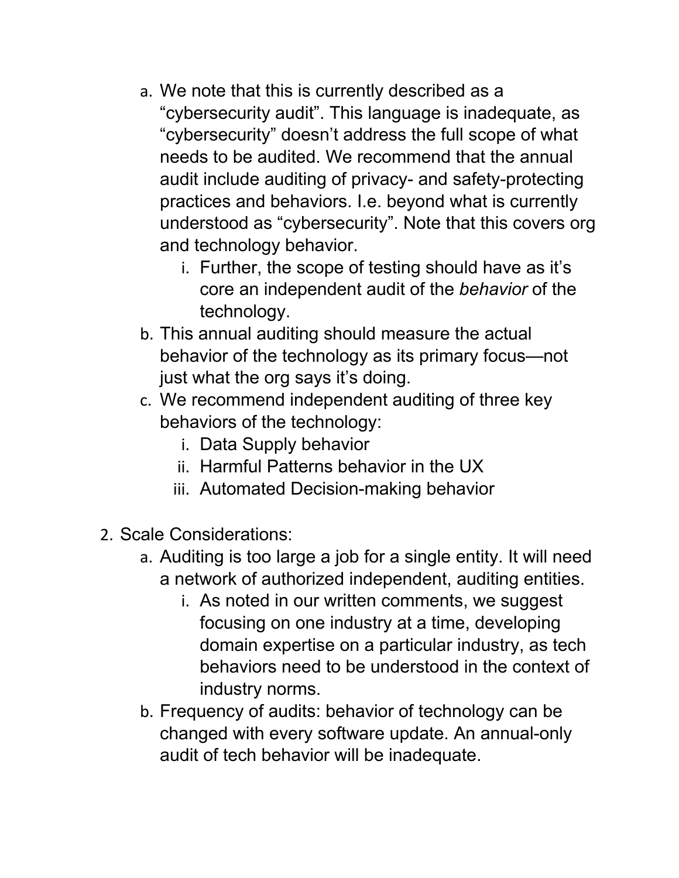- a. We note that this is currently described as a "cybersecurity audit". This language is inadequate, as "cybersecurity" doesn't address the full scope of what needs to be audited. We recommend that the annual audit include auditing of privacy- and safety-protecting practices and behaviors. I.e. beyond what is currently understood as "cybersecurity". Note that this covers org and technology behavior.
	- i. Further, the scope of testing should have as it's core an independent audit of the *behavior* of the technology.
- b. This annual auditing should measure the actual behavior of the technology as its primary focus—not just what the org says it's doing.
- c. We recommend independent auditing of three key behaviors of the technology:
	- i. Data Supply behavior
	- ii. Harmful Patterns behavior in the UX
	- iii. Automated Decision-making behavior
- 2. Scale Considerations:
	- a. Auditing is too large a job for a single entity. It will need a network of authorized independent, auditing entities.
		- i. As noted in our written comments, we suggest focusing on one industry at a time, developing domain expertise on a particular industry, as tech behaviors need to be understood in the context of industry norms.
	- b. Frequency of audits: behavior of technology can be changed with every software update. An annual-only audit of tech behavior will be inadequate.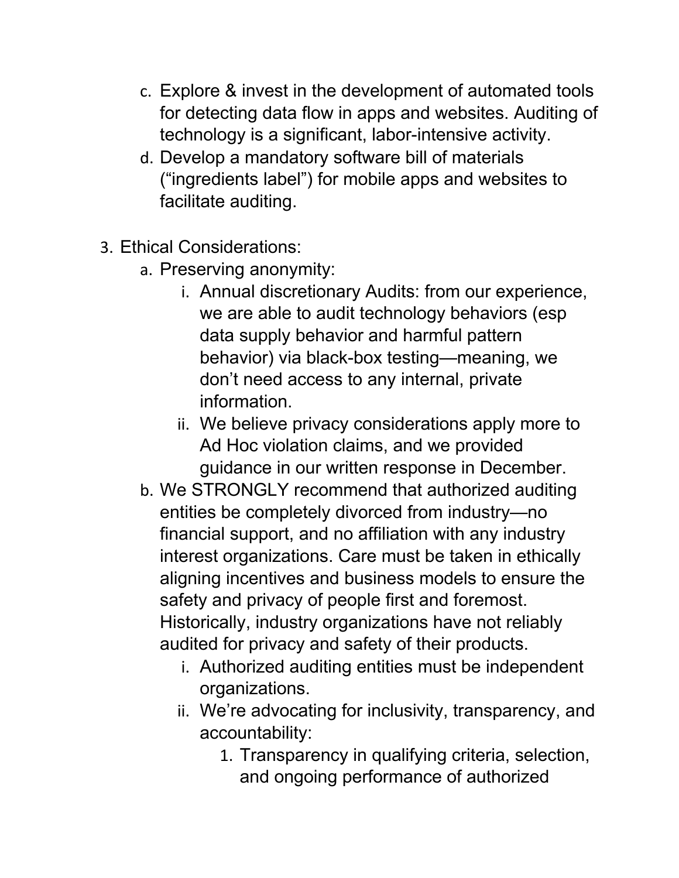- c. Explore & invest in the development of automated tools for detecting data flow in apps and websites. Auditing of technology is a significant, labor-intensive activity.
- d. Develop a mandatory software bill of materials ("ingredients label") for mobile apps and websites to facilitate auditing.
- 3. Ethical Considerations:
	- a. Preserving anonymity:
		- i. Annual discretionary Audits: from our experience, we are able to audit technology behaviors (esp data supply behavior and harmful pattern behavior) via black-box testing—meaning, we don't need access to any internal, private information.
		- ii. We believe privacy considerations apply more to Ad Hoc violation claims, and we provided guidance in our written response in December.
	- b. We STRONGLY recommend that authorized auditing entities be completely divorced from industry—no financial support, and no affiliation with any industry interest organizations. Care must be taken in ethically aligning incentives and business models to ensure the safety and privacy of people first and foremost. Historically, industry organizations have not reliably audited for privacy and safety of their products.
		- i. Authorized auditing entities must be independent organizations.
		- ii. We're advocating for inclusivity, transparency, and accountability:
			- 1. Transparency in qualifying criteria, selection, and ongoing performance of authorized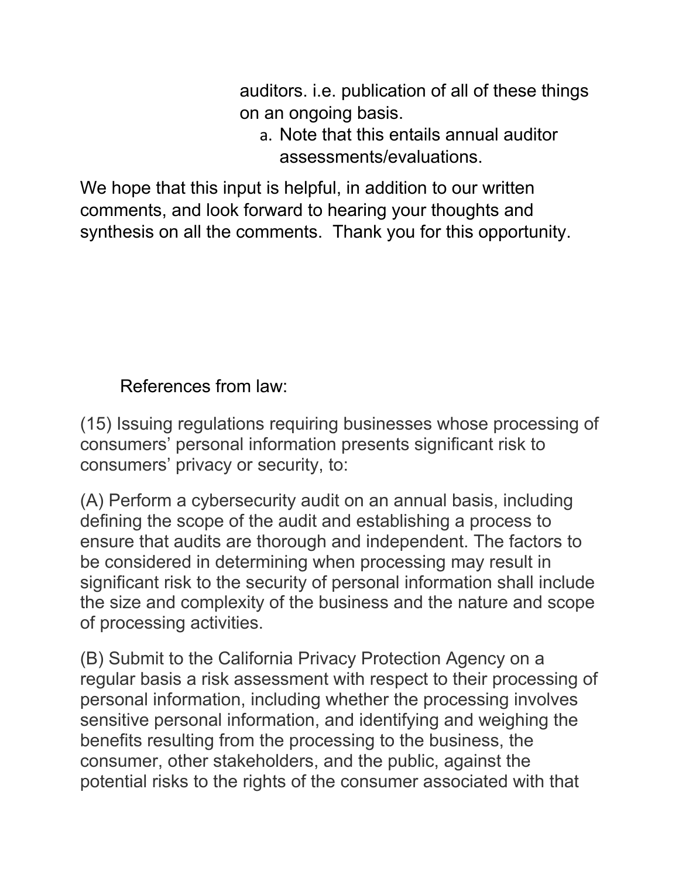auditors. i.e. publication of all of these things on an ongoing basis.

a. Note that this entails annual auditor assessments/evaluations.

We hope that this input is helpful, in addition to our written comments, and look forward to hearing your thoughts and synthesis on all the comments. Thank you for this opportunity.

# References from law:

(15) Issuing regulations requiring businesses whose processing of consumers' personal information presents significant risk to consumers' privacy or security, to:

(A) Perform a cybersecurity audit on an annual basis, including defining the scope of the audit and establishing a process to ensure that audits are thorough and independent. The factors to be considered in determining when processing may result in significant risk to the security of personal information shall include the size and complexity of the business and the nature and scope of processing activities.

(B) Submit to the California Privacy Protection Agency on a regular basis a risk assessment with respect to their processing of personal information, including whether the processing involves sensitive personal information, and identifying and weighing the benefits resulting from the processing to the business, the consumer, other stakeholders, and the public, against the potential risks to the rights of the consumer associated with that